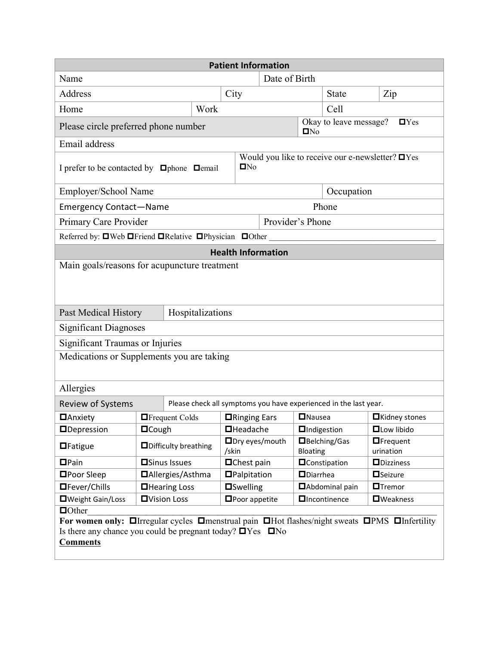| <b>Patient Information</b>                                                                                                                                             |                              |                                                                     |                                                                  |                      |                                                                   |                        |                                      |  |
|------------------------------------------------------------------------------------------------------------------------------------------------------------------------|------------------------------|---------------------------------------------------------------------|------------------------------------------------------------------|----------------------|-------------------------------------------------------------------|------------------------|--------------------------------------|--|
| Name                                                                                                                                                                   |                              |                                                                     | Date of Birth                                                    |                      |                                                                   |                        |                                      |  |
| Address                                                                                                                                                                |                              |                                                                     | City                                                             |                      |                                                                   | <b>State</b>           | Zip                                  |  |
| Home                                                                                                                                                                   |                              | Work                                                                |                                                                  |                      |                                                                   | Cell                   |                                      |  |
| Please circle preferred phone number                                                                                                                                   |                              |                                                                     |                                                                  |                      | Okay to leave message?<br>$\blacksquare$ Yes<br>$\blacksquare$ No |                        |                                      |  |
| Email address                                                                                                                                                          |                              |                                                                     |                                                                  |                      |                                                                   |                        |                                      |  |
| I prefer to be contacted by <b>O</b> phone <b>Demail</b>                                                                                                               |                              | Would you like to receive our e-newsletter? $\Box$ Yes<br>$\Box$ No |                                                                  |                      |                                                                   |                        |                                      |  |
| Employer/School Name                                                                                                                                                   |                              | Occupation                                                          |                                                                  |                      |                                                                   |                        |                                      |  |
| Phone<br><b>Emergency Contact-Name</b>                                                                                                                                 |                              |                                                                     |                                                                  |                      |                                                                   |                        |                                      |  |
| Primary Care Provider                                                                                                                                                  |                              | Provider's Phone                                                    |                                                                  |                      |                                                                   |                        |                                      |  |
| Referred by: □Web □ Friend □ Relative □ Physician □ Other                                                                                                              |                              |                                                                     |                                                                  |                      |                                                                   |                        |                                      |  |
| <b>Health Information</b>                                                                                                                                              |                              |                                                                     |                                                                  |                      |                                                                   |                        |                                      |  |
| Main goals/reasons for acupuncture treatment                                                                                                                           |                              |                                                                     |                                                                  |                      |                                                                   |                        |                                      |  |
| Hospitalizations<br>Past Medical History                                                                                                                               |                              |                                                                     |                                                                  |                      |                                                                   |                        |                                      |  |
| <b>Significant Diagnoses</b>                                                                                                                                           |                              |                                                                     |                                                                  |                      |                                                                   |                        |                                      |  |
| <b>Significant Traumas or Injuries</b>                                                                                                                                 |                              |                                                                     |                                                                  |                      |                                                                   |                        |                                      |  |
| Medications or Supplements you are taking                                                                                                                              |                              |                                                                     |                                                                  |                      |                                                                   |                        |                                      |  |
| Allergies                                                                                                                                                              |                              |                                                                     |                                                                  |                      |                                                                   |                        |                                      |  |
| <b>Review of Systems</b>                                                                                                                                               |                              |                                                                     | Please check all symptoms you have experienced in the last year. |                      |                                                                   |                        |                                      |  |
| <b>D</b> Anxiety                                                                                                                                                       | <b>E</b> Frequent Colds      |                                                                     | <b>□</b> Ringing Ears                                            |                      | <b>O</b> Nausea                                                   |                        | <b>O</b> Kidney stones               |  |
| <b>O</b> Depression                                                                                                                                                    | <b>O</b> Cough               |                                                                     | <b>O</b> Headache                                                |                      | <b>O</b> Indigestion                                              |                        | <b>QLow libido</b>                   |  |
| $\blacksquare$ Fatigue                                                                                                                                                 | <b>ODifficulty breathing</b> |                                                                     | □Dry eyes/mouth<br>/skin                                         |                      | Bloating                                                          | □Belching/Gas          | $\blacksquare$ Frequent<br>urination |  |
| $\Box$ Pain                                                                                                                                                            | <b>□</b> Sinus Issues        |                                                                     | □Chest pain                                                      |                      |                                                                   | <b>O</b> Constipation  | <b>ODizziness</b>                    |  |
| <b>□</b> Poor Sleep                                                                                                                                                    | <b>□</b> Allergies/Asthma    |                                                                     |                                                                  | <b>O</b> Palpitation |                                                                   | <b>ODiarrhea</b>       | <b>O</b> Seizure                     |  |
| □Fever/Chills                                                                                                                                                          | <b>□</b> Hearing Loss        |                                                                     | <b>O</b> Swelling                                                |                      |                                                                   | <b>DAbdominal pain</b> | <b>O</b> Tremor                      |  |
| <b>O</b> Vision Loss<br><b>U</b> Weight Gain/Loss                                                                                                                      |                              |                                                                     | <b>Oncontinence</b><br>$\blacksquare$ Poor appetite              |                      |                                                                   | <b>O</b> Weakness      |                                      |  |
| $\Box$ Other                                                                                                                                                           |                              |                                                                     |                                                                  |                      |                                                                   |                        |                                      |  |
| For women only: Olrregular cycles Omenstrual pain OHot flashes/night sweats OPMS OInfertility<br>Is there any chance you could be pregnant today? $\Box$ Yes $\Box$ No |                              |                                                                     |                                                                  |                      |                                                                   |                        |                                      |  |
| <b>Comments</b>                                                                                                                                                        |                              |                                                                     |                                                                  |                      |                                                                   |                        |                                      |  |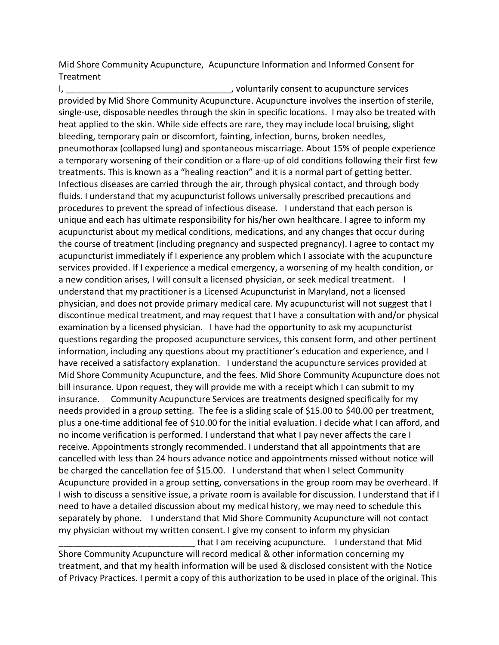Mid Shore Community Acupuncture, Acupuncture Information and Informed Consent for Treatment

I, the consention of the consention of the consention of the services of the consention of the services of the consention of the consention of the consention of the consention of the consention of the consention of the con provided by Mid Shore Community Acupuncture. Acupuncture involves the insertion of sterile, single-use, disposable needles through the skin in specific locations. I may also be treated with heat applied to the skin. While side effects are rare, they may include local bruising, slight bleeding, temporary pain or discomfort, fainting, infection, burns, broken needles, pneumothorax (collapsed lung) and spontaneous miscarriage. About 15% of people experience a temporary worsening of their condition or a flare-up of old conditions following their first few treatments. This is known as a "healing reaction" and it is a normal part of getting better. Infectious diseases are carried through the air, through physical contact, and through body fluids. I understand that my acupuncturist follows universally prescribed precautions and procedures to prevent the spread of infectious disease. I understand that each person is unique and each has ultimate responsibility for his/her own healthcare. I agree to inform my acupuncturist about my medical conditions, medications, and any changes that occur during the course of treatment (including pregnancy and suspected pregnancy). I agree to contact my acupuncturist immediately if I experience any problem which I associate with the acupuncture services provided. If I experience a medical emergency, a worsening of my health condition, or a new condition arises, I will consult a licensed physician, or seek medical treatment. I understand that my practitioner is a Licensed Acupuncturist in Maryland, not a licensed physician, and does not provide primary medical care. My acupuncturist will not suggest that I discontinue medical treatment, and may request that I have a consultation with and/or physical examination by a licensed physician. I have had the opportunity to ask my acupuncturist questions regarding the proposed acupuncture services, this consent form, and other pertinent information, including any questions about my practitioner's education and experience, and I have received a satisfactory explanation. I understand the acupuncture services provided at Mid Shore Community Acupuncture, and the fees. Mid Shore Community Acupuncture does not bill insurance. Upon request, they will provide me with a receipt which I can submit to my insurance. Community Acupuncture Services are treatments designed specifically for my needs provided in a group setting. The fee is a sliding scale of \$15.00 to \$40.00 per treatment, plus a one-time additional fee of \$10.00 for the initial evaluation. I decide what I can afford, and no income verification is performed. I understand that what I pay never affects the care I receive. Appointments strongly recommended. I understand that all appointments that are cancelled with less than 24 hours advance notice and appointments missed without notice will be charged the cancellation fee of \$15.00. I understand that when I select Community Acupuncture provided in a group setting, conversations in the group room may be overheard. If I wish to discuss a sensitive issue, a private room is available for discussion. I understand that if I need to have a detailed discussion about my medical history, we may need to schedule this separately by phone. I understand that Mid Shore Community Acupuncture will not contact my physician without my written consent. I give my consent to inform my physician

that I am receiving acupuncture. I understand that Mid Shore Community Acupuncture will record medical & other information concerning my treatment, and that my health information will be used & disclosed consistent with the Notice of Privacy Practices. I permit a copy of this authorization to be used in place of the original. This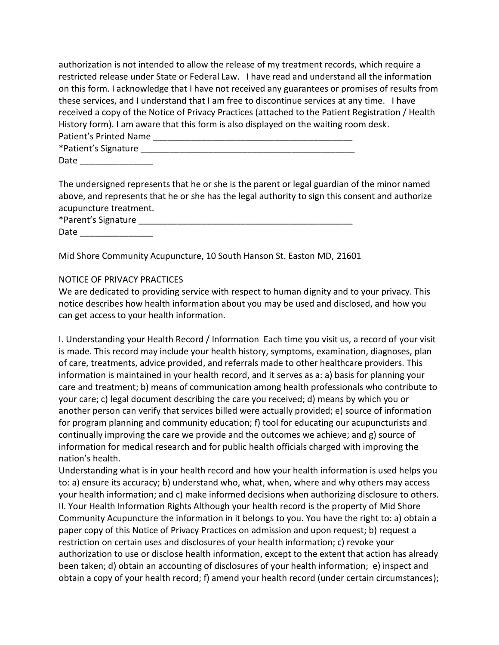authorization is not intended to allow the release of my treatment records, which require a restricted release under State or Federal Law. I have read and understand all the information on this form. I acknowledge that I have not received any guarantees or promises of results from these services, and I understand that I am free to discontinue services at any time. I have received a copy of the Notice of Privacy Practices (attached to the Patient Registration / Health History form). I am aware that this form is also displayed on the waiting room desk. Patient's Printed Name

| *Patient's Signature |  |
|----------------------|--|
| $\sim$ $\sim$        |  |

Date \_\_\_\_\_\_\_\_\_\_\_\_\_\_\_

The undersigned represents that he or she is the parent or legal guardian of the minor named above, and represents that he or she has the legal authority to sign this consent and authorize acupuncture treatment.

\*Parent's Signature \_\_\_\_\_\_\_\_\_\_\_\_\_\_\_\_\_\_\_\_\_\_\_\_\_\_\_\_\_\_\_\_\_\_\_\_\_\_\_\_\_\_\_\_

Date  $\_\_$ 

Mid Shore Community Acupuncture, 10 South Hanson St. Easton MD, 21601

## NOTICE OF PRIVACY PRACTICES

We are dedicated to providing service with respect to human dignity and to your privacy. This notice describes how health information about you may be used and disclosed, and how you can get access to your health information.

I. Understanding your Health Record / Information Each time you visit us, a record of your visit is made. This record may include your health history, symptoms, examination, diagnoses, plan of care, treatments, advice provided, and referrals made to other healthcare providers. This information is maintained in your health record, and it serves as a: a) basis for planning your care and treatment; b) means of communication among health professionals who contribute to your care; c) legal document describing the care you received; d) means by which you or another person can verify that services billed were actually provided; e) source of information for program planning and community education; f) tool for educating our acupuncturists and continually improving the care we provide and the outcomes we achieve; and g) source of information for medical research and for public health officials charged with improving the nation's health.

Understanding what is in your health record and how your health information is used helps you to: a) ensure its accuracy; b) understand who, what, when, where and why others may access your health information; and c) make informed decisions when authorizing disclosure to others. II. Your Health Information Rights Although your health record is the property of Mid Shore Community Acupuncture the information in it belongs to you. You have the right to: a) obtain a paper copy of this Notice of Privacy Practices on admission and upon request; b) request a restriction on certain uses and disclosures of your health information; c) revoke your authorization to use or disclose health information, except to the extent that action has already been taken; d) obtain an accounting of disclosures of your health information; e) inspect and obtain a copy of your health record; f) amend your health record (under certain circumstances);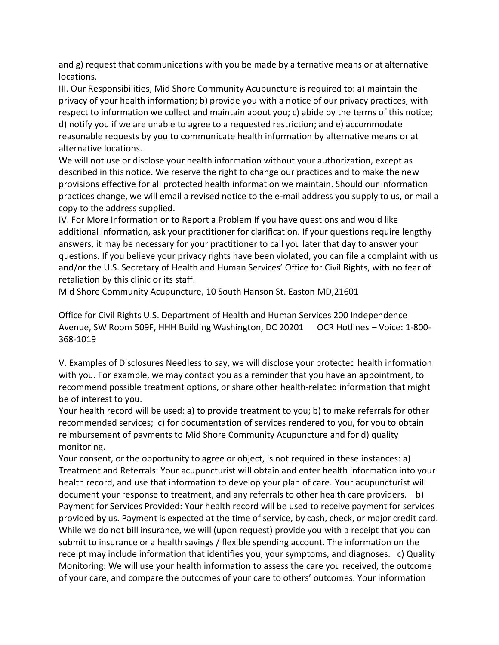and g) request that communications with you be made by alternative means or at alternative locations.

III. Our Responsibilities, Mid Shore Community Acupuncture is required to: a) maintain the privacy of your health information; b) provide you with a notice of our privacy practices, with respect to information we collect and maintain about you; c) abide by the terms of this notice; d) notify you if we are unable to agree to a requested restriction; and e) accommodate reasonable requests by you to communicate health information by alternative means or at alternative locations.

We will not use or disclose your health information without your authorization, except as described in this notice. We reserve the right to change our practices and to make the new provisions effective for all protected health information we maintain. Should our information practices change, we will email a revised notice to the e-mail address you supply to us, or mail a copy to the address supplied.

IV. For More Information or to Report a Problem If you have questions and would like additional information, ask your practitioner for clarification. If your questions require lengthy answers, it may be necessary for your practitioner to call you later that day to answer your questions. If you believe your privacy rights have been violated, you can file a complaint with us and/or the U.S. Secretary of Health and Human Services' Office for Civil Rights, with no fear of retaliation by this clinic or its staff.

Mid Shore Community Acupuncture, 10 South Hanson St. Easton MD,21601

Office for Civil Rights U.S. Department of Health and Human Services 200 Independence Avenue, SW Room 509F, HHH Building Washington, DC 20201 OCR Hotlines – Voice: 1-800- 368-1019

V. Examples of Disclosures Needless to say, we will disclose your protected health information with you. For example, we may contact you as a reminder that you have an appointment, to recommend possible treatment options, or share other health-related information that might be of interest to you.

Your health record will be used: a) to provide treatment to you; b) to make referrals for other recommended services; c) for documentation of services rendered to you, for you to obtain reimbursement of payments to Mid Shore Community Acupuncture and for d) quality monitoring.

Your consent, or the opportunity to agree or object, is not required in these instances: a) Treatment and Referrals: Your acupuncturist will obtain and enter health information into your health record, and use that information to develop your plan of care. Your acupuncturist will document your response to treatment, and any referrals to other health care providers. b) Payment for Services Provided: Your health record will be used to receive payment for services provided by us. Payment is expected at the time of service, by cash, check, or major credit card. While we do not bill insurance, we will (upon request) provide you with a receipt that you can submit to insurance or a health savings / flexible spending account. The information on the receipt may include information that identifies you, your symptoms, and diagnoses. c) Quality Monitoring: We will use your health information to assess the care you received, the outcome of your care, and compare the outcomes of your care to others' outcomes. Your information